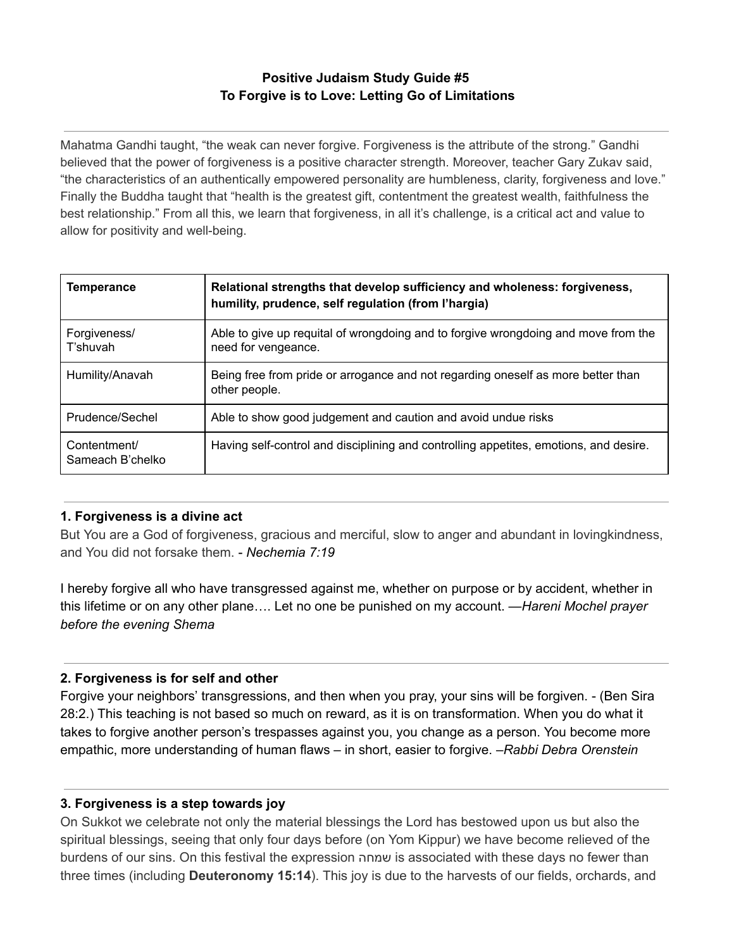# **Positive Judaism Study Guide #5 To Forgive is to Love: Letting Go of Limitations**

Mahatma Gandhi taught, "the weak can never forgive. Forgiveness is the attribute of the strong." Gandhi believed that the power of forgiveness is a positive character strength. Moreover, teacher Gary Zukav said, "the characteristics of an authentically empowered personality are humbleness, clarity, forgiveness and love." Finally the Buddha taught that "health is the greatest gift, contentment the greatest wealth, faithfulness the best relationship." From all this, we learn that forgiveness, in all it's challenge, is a critical act and value to allow for positivity and well-being.

| Temperance                       | Relational strengths that develop sufficiency and wholeness: forgiveness,<br>humility, prudence, self regulation (from l'hargia) |
|----------------------------------|----------------------------------------------------------------------------------------------------------------------------------|
| Forgiveness/<br>T'shuvah         | Able to give up requital of wrongdoing and to forgive wrongdoing and move from the<br>need for vengeance.                        |
| Humility/Anavah                  | Being free from pride or arrogance and not regarding oneself as more better than<br>other people.                                |
| Prudence/Sechel                  | Able to show good judgement and caution and avoid undue risks                                                                    |
| Contentment/<br>Sameach B'chelko | Having self-control and disciplining and controlling appetites, emotions, and desire.                                            |

## **1. Forgiveness is a divine act**

But You are a God of forgiveness, gracious and merciful, slow to anger and abundant in lovingkindness, and You did not forsake them. - *Nechemia 7:19*

I hereby forgive all who have transgressed against me, whether on purpose or by accident, whether in this lifetime or on any other plane…. Let no one be punished on my account. —*Hareni Mochel prayer before the evening Shema*

## **2. Forgiveness is for self and other**

Forgive your neighbors' transgressions, and then when you pray, your sins will be forgiven. - (Ben Sira 28:2.) This teaching is not based so much on reward, as it is on transformation. When you do what it takes to forgive another person's trespasses against you, you change as a person. You become more empathic, more understanding of human flaws – in short, easier to forgive. –*Rabbi Debra Orenstein*

## **3. Forgiveness is a step towards joy**

On Sukkot we celebrate not only the material blessings the Lord has bestowed upon us but also the spiritual blessings, seeing that only four days before (on Yom Kippur) we have become relieved of the burdens of our sins. On this festival the expression שמחה is associated with these days no fewer than three times (including **Deuteronomy 15:14**). This joy is due to the harvests of our fields, orchards, and